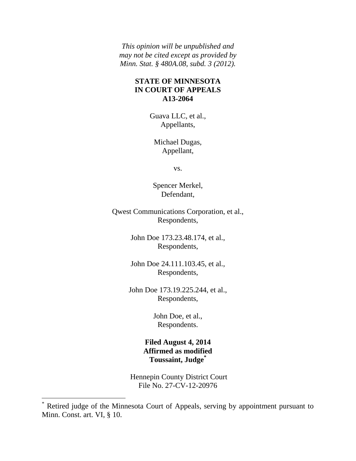*This opinion will be unpublished and may not be cited except as provided by Minn. Stat. § 480A.08, subd. 3 (2012).*

## **STATE OF MINNESOTA IN COURT OF APPEALS A13-2064**

Guava LLC, et al., Appellants,

Michael Dugas, Appellant,

vs.

Spencer Merkel, Defendant,

Qwest Communications Corporation, et al., Respondents,

> John Doe 173.23.48.174, et al., Respondents,

> John Doe 24.111.103.45, et al., Respondents,

John Doe 173.19.225.244, et al., Respondents,

> John Doe, et al., Respondents.

**Filed August 4, 2014 Affirmed as modified Toussaint, Judge\***

Hennepin County District Court File No. 27-CV-12-20976

 $\overline{a}$ 

<sup>\*</sup> Retired judge of the Minnesota Court of Appeals, serving by appointment pursuant to Minn. Const. art. VI, § 10.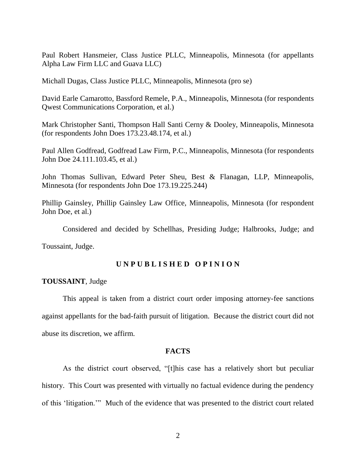Paul Robert Hansmeier, Class Justice PLLC, Minneapolis, Minnesota (for appellants Alpha Law Firm LLC and Guava LLC)

Michall Dugas, Class Justice PLLC, Minneapolis, Minnesota (pro se)

David Earle Camarotto, Bassford Remele, P.A., Minneapolis, Minnesota (for respondents Qwest Communications Corporation, et al.)

Mark Christopher Santi, Thompson Hall Santi Cerny & Dooley, Minneapolis, Minnesota (for respondents John Does 173.23.48.174, et al.)

Paul Allen Godfread, Godfread Law Firm, P.C., Minneapolis, Minnesota (for respondents John Doe 24.111.103.45, et al.)

John Thomas Sullivan, Edward Peter Sheu, Best & Flanagan, LLP, Minneapolis, Minnesota (for respondents John Doe 173.19.225.244)

Phillip Gainsley, Phillip Gainsley Law Office, Minneapolis, Minnesota (for respondent John Doe, et al.)

Considered and decided by Schellhas, Presiding Judge; Halbrooks, Judge; and

Toussaint, Judge.

# **U N P U B L I S H E D O P I N I O N**

#### **TOUSSAINT**, Judge

This appeal is taken from a district court order imposing attorney-fee sanctions against appellants for the bad-faith pursuit of litigation. Because the district court did not abuse its discretion, we affirm.

#### **FACTS**

As the district court observed, "[t]his case has a relatively short but peculiar history. This Court was presented with virtually no factual evidence during the pendency of this 'litigation.'" Much of the evidence that was presented to the district court related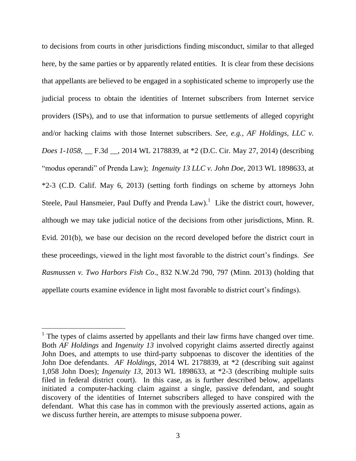to decisions from courts in other jurisdictions finding misconduct, similar to that alleged here, by the same parties or by apparently related entities. It is clear from these decisions that appellants are believed to be engaged in a sophisticated scheme to improperly use the judicial process to obtain the identities of Internet subscribers from Internet service providers (ISPs), and to use that information to pursue settlements of alleged copyright and/or hacking claims with those Internet subscribers. *See, e.g., AF Holdings, LLC v. Does 1-1058*, \_\_ F.3d \_\_, 2014 WL 2178839, at \*2 (D.C. Cir. May 27, 2014) (describing "modus operandi" of Prenda Law); *Ingenuity 13 LLC v. John Doe*, 2013 WL 1898633, at \*2-3 (C.D. Calif. May 6, 2013) (setting forth findings on scheme by attorneys John Steele, Paul Hansmeier, Paul Duffy and Prenda Law).<sup>1</sup> Like the district court, however, although we may take judicial notice of the decisions from other jurisdictions, Minn. R. Evid. 201(b), we base our decision on the record developed before the district court in these proceedings, viewed in the light most favorable to the district court's findings. *See Rasmussen v. Two Harbors Fish Co*., 832 N.W.2d 790, 797 (Minn. 2013) (holding that appellate courts examine evidence in light most favorable to district court's findings).

 $\overline{a}$ 

 $<sup>1</sup>$  The types of claims asserted by appellants and their law firms have changed over time.</sup> Both *AF Holdings* and *Ingenuity 13* involved copyright claims asserted directly against John Does, and attempts to use third-party subpoenas to discover the identities of the John Doe defendants. *AF Holdings*, 2014 WL 2178839, at \*2 (describing suit against 1,058 John Does); *Ingenuity 13*, 2013 WL 1898633, at \*2-3 (describing multiple suits filed in federal district court). In this case, as is further described below, appellants initiated a computer-hacking claim against a single, passive defendant, and sought discovery of the identities of Internet subscribers alleged to have conspired with the defendant. What this case has in common with the previously asserted actions, again as we discuss further herein, are attempts to misuse subpoena power.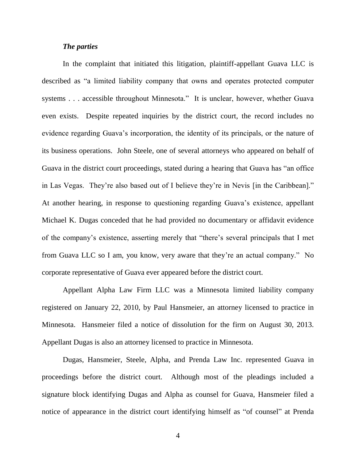## *The parties*

In the complaint that initiated this litigation, plaintiff-appellant Guava LLC is described as "a limited liability company that owns and operates protected computer systems . . . accessible throughout Minnesota." It is unclear, however, whether Guava even exists. Despite repeated inquiries by the district court, the record includes no evidence regarding Guava's incorporation, the identity of its principals, or the nature of its business operations. John Steele, one of several attorneys who appeared on behalf of Guava in the district court proceedings, stated during a hearing that Guava has "an office in Las Vegas. They're also based out of I believe they're in Nevis [in the Caribbean]." At another hearing, in response to questioning regarding Guava's existence, appellant Michael K. Dugas conceded that he had provided no documentary or affidavit evidence of the company's existence, asserting merely that "there's several principals that I met from Guava LLC so I am, you know, very aware that they're an actual company." No corporate representative of Guava ever appeared before the district court.

Appellant Alpha Law Firm LLC was a Minnesota limited liability company registered on January 22, 2010, by Paul Hansmeier, an attorney licensed to practice in Minnesota. Hansmeier filed a notice of dissolution for the firm on August 30, 2013. Appellant Dugas is also an attorney licensed to practice in Minnesota.

Dugas, Hansmeier, Steele, Alpha, and Prenda Law Inc. represented Guava in proceedings before the district court. Although most of the pleadings included a signature block identifying Dugas and Alpha as counsel for Guava, Hansmeier filed a notice of appearance in the district court identifying himself as "of counsel" at Prenda

4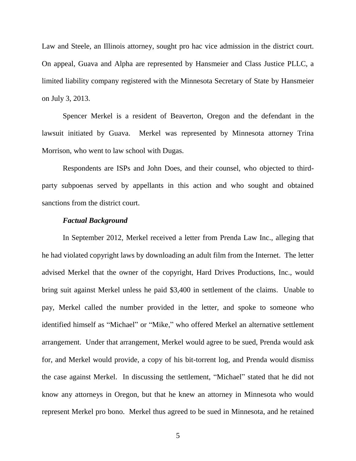Law and Steele, an Illinois attorney, sought pro hac vice admission in the district court. On appeal, Guava and Alpha are represented by Hansmeier and Class Justice PLLC, a limited liability company registered with the Minnesota Secretary of State by Hansmeier on July 3, 2013.

Spencer Merkel is a resident of Beaverton, Oregon and the defendant in the lawsuit initiated by Guava. Merkel was represented by Minnesota attorney Trina Morrison, who went to law school with Dugas.

Respondents are ISPs and John Does, and their counsel, who objected to thirdparty subpoenas served by appellants in this action and who sought and obtained sanctions from the district court.

#### *Factual Background*

In September 2012, Merkel received a letter from Prenda Law Inc., alleging that he had violated copyright laws by downloading an adult film from the Internet. The letter advised Merkel that the owner of the copyright, Hard Drives Productions, Inc., would bring suit against Merkel unless he paid \$3,400 in settlement of the claims. Unable to pay, Merkel called the number provided in the letter, and spoke to someone who identified himself as "Michael" or "Mike," who offered Merkel an alternative settlement arrangement. Under that arrangement, Merkel would agree to be sued, Prenda would ask for, and Merkel would provide, a copy of his bit-torrent log, and Prenda would dismiss the case against Merkel. In discussing the settlement, "Michael" stated that he did not know any attorneys in Oregon, but that he knew an attorney in Minnesota who would represent Merkel pro bono. Merkel thus agreed to be sued in Minnesota, and he retained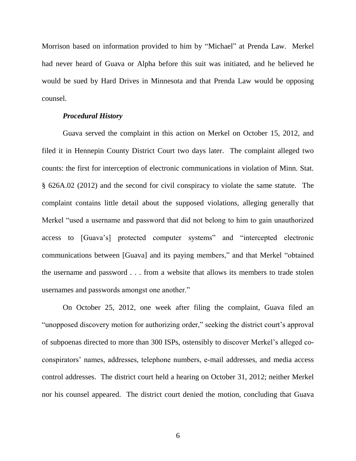Morrison based on information provided to him by "Michael" at Prenda Law. Merkel had never heard of Guava or Alpha before this suit was initiated, and he believed he would be sued by Hard Drives in Minnesota and that Prenda Law would be opposing counsel.

### *Procedural History*

Guava served the complaint in this action on Merkel on October 15, 2012, and filed it in Hennepin County District Court two days later. The complaint alleged two counts: the first for interception of electronic communications in violation of Minn. Stat. § 626A.02 (2012) and the second for civil conspiracy to violate the same statute. The complaint contains little detail about the supposed violations, alleging generally that Merkel "used a username and password that did not belong to him to gain unauthorized access to [Guava's] protected computer systems" and "intercepted electronic communications between [Guava] and its paying members," and that Merkel "obtained the username and password . . . from a website that allows its members to trade stolen usernames and passwords amongst one another."

On October 25, 2012, one week after filing the complaint, Guava filed an "unopposed discovery motion for authorizing order," seeking the district court's approval of subpoenas directed to more than 300 ISPs, ostensibly to discover Merkel's alleged coconspirators' names, addresses, telephone numbers, e-mail addresses, and media access control addresses. The district court held a hearing on October 31, 2012; neither Merkel nor his counsel appeared. The district court denied the motion, concluding that Guava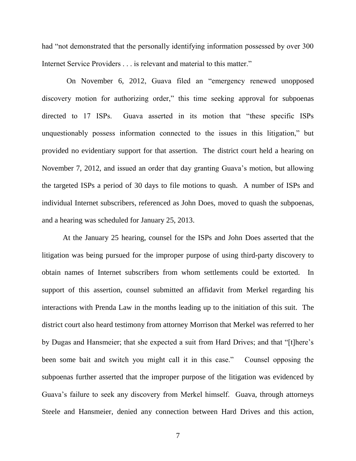had "not demonstrated that the personally identifying information possessed by over 300 Internet Service Providers . . . is relevant and material to this matter."

 On November 6, 2012, Guava filed an "emergency renewed unopposed discovery motion for authorizing order," this time seeking approval for subpoenas directed to 17 ISPs. Guava asserted in its motion that "these specific ISPs unquestionably possess information connected to the issues in this litigation," but provided no evidentiary support for that assertion. The district court held a hearing on November 7, 2012, and issued an order that day granting Guava's motion, but allowing the targeted ISPs a period of 30 days to file motions to quash. A number of ISPs and individual Internet subscribers, referenced as John Does, moved to quash the subpoenas, and a hearing was scheduled for January 25, 2013.

At the January 25 hearing, counsel for the ISPs and John Does asserted that the litigation was being pursued for the improper purpose of using third-party discovery to obtain names of Internet subscribers from whom settlements could be extorted. In support of this assertion, counsel submitted an affidavit from Merkel regarding his interactions with Prenda Law in the months leading up to the initiation of this suit. The district court also heard testimony from attorney Morrison that Merkel was referred to her by Dugas and Hansmeier; that she expected a suit from Hard Drives; and that "[t]here's been some bait and switch you might call it in this case." Counsel opposing the subpoenas further asserted that the improper purpose of the litigation was evidenced by Guava's failure to seek any discovery from Merkel himself. Guava, through attorneys Steele and Hansmeier, denied any connection between Hard Drives and this action,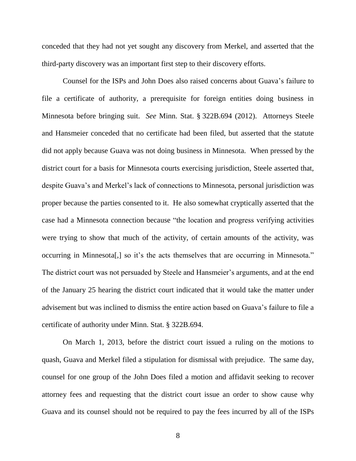conceded that they had not yet sought any discovery from Merkel, and asserted that the third-party discovery was an important first step to their discovery efforts.

Counsel for the ISPs and John Does also raised concerns about Guava's failure to file a certificate of authority, a prerequisite for foreign entities doing business in Minnesota before bringing suit. *See* Minn. Stat. § 322B.694 (2012). Attorneys Steele and Hansmeier conceded that no certificate had been filed, but asserted that the statute did not apply because Guava was not doing business in Minnesota. When pressed by the district court for a basis for Minnesota courts exercising jurisdiction, Steele asserted that, despite Guava's and Merkel's lack of connections to Minnesota, personal jurisdiction was proper because the parties consented to it. He also somewhat cryptically asserted that the case had a Minnesota connection because "the location and progress verifying activities were trying to show that much of the activity, of certain amounts of the activity, was occurring in Minnesota[,] so it's the acts themselves that are occurring in Minnesota." The district court was not persuaded by Steele and Hansmeier's arguments, and at the end of the January 25 hearing the district court indicated that it would take the matter under advisement but was inclined to dismiss the entire action based on Guava's failure to file a certificate of authority under Minn. Stat. § 322B.694.

On March 1, 2013, before the district court issued a ruling on the motions to quash, Guava and Merkel filed a stipulation for dismissal with prejudice. The same day, counsel for one group of the John Does filed a motion and affidavit seeking to recover attorney fees and requesting that the district court issue an order to show cause why Guava and its counsel should not be required to pay the fees incurred by all of the ISPs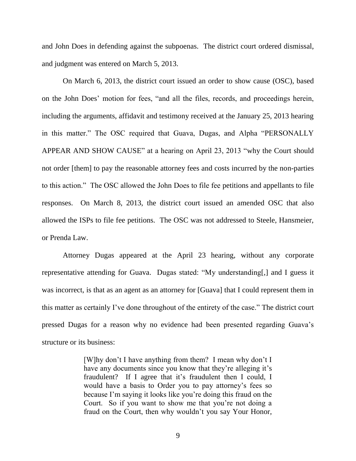and John Does in defending against the subpoenas. The district court ordered dismissal, and judgment was entered on March 5, 2013.

On March 6, 2013, the district court issued an order to show cause (OSC), based on the John Does' motion for fees, "and all the files, records, and proceedings herein, including the arguments, affidavit and testimony received at the January 25, 2013 hearing in this matter." The OSC required that Guava, Dugas, and Alpha "PERSONALLY APPEAR AND SHOW CAUSE" at a hearing on April 23, 2013 "why the Court should not order [them] to pay the reasonable attorney fees and costs incurred by the non-parties to this action." The OSC allowed the John Does to file fee petitions and appellants to file responses. On March 8, 2013, the district court issued an amended OSC that also allowed the ISPs to file fee petitions. The OSC was not addressed to Steele, Hansmeier, or Prenda Law.

Attorney Dugas appeared at the April 23 hearing, without any corporate representative attending for Guava. Dugas stated: "My understanding[,] and I guess it was incorrect, is that as an agent as an attorney for [Guava] that I could represent them in this matter as certainly I've done throughout of the entirety of the case." The district court pressed Dugas for a reason why no evidence had been presented regarding Guava's structure or its business:

> [W]hy don't I have anything from them? I mean why don't I have any documents since you know that they're alleging it's fraudulent? If I agree that it's fraudulent then I could, I would have a basis to Order you to pay attorney's fees so because I'm saying it looks like you're doing this fraud on the Court. So if you want to show me that you're not doing a fraud on the Court, then why wouldn't you say Your Honor,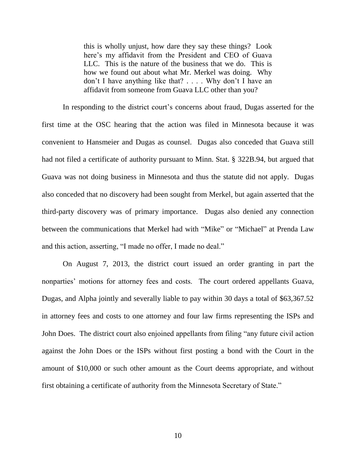this is wholly unjust, how dare they say these things? Look here's my affidavit from the President and CEO of Guava LLC. This is the nature of the business that we do. This is how we found out about what Mr. Merkel was doing. Why don't I have anything like that? . . . . Why don't I have an affidavit from someone from Guava LLC other than you?

In responding to the district court's concerns about fraud, Dugas asserted for the first time at the OSC hearing that the action was filed in Minnesota because it was convenient to Hansmeier and Dugas as counsel. Dugas also conceded that Guava still had not filed a certificate of authority pursuant to Minn. Stat. § 322B.94, but argued that Guava was not doing business in Minnesota and thus the statute did not apply. Dugas also conceded that no discovery had been sought from Merkel, but again asserted that the third-party discovery was of primary importance. Dugas also denied any connection between the communications that Merkel had with "Mike" or "Michael" at Prenda Law and this action, asserting, "I made no offer, I made no deal."

On August 7, 2013, the district court issued an order granting in part the nonparties' motions for attorney fees and costs. The court ordered appellants Guava, Dugas, and Alpha jointly and severally liable to pay within 30 days a total of \$63,367.52 in attorney fees and costs to one attorney and four law firms representing the ISPs and John Does. The district court also enjoined appellants from filing "any future civil action against the John Does or the ISPs without first posting a bond with the Court in the amount of \$10,000 or such other amount as the Court deems appropriate, and without first obtaining a certificate of authority from the Minnesota Secretary of State."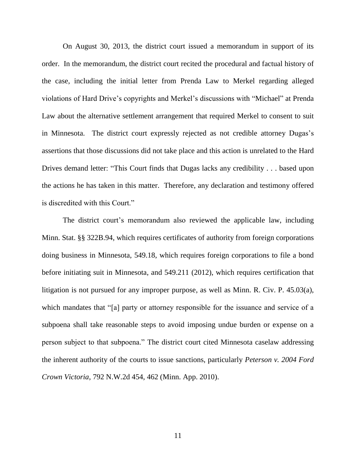On August 30, 2013, the district court issued a memorandum in support of its order. In the memorandum, the district court recited the procedural and factual history of the case, including the initial letter from Prenda Law to Merkel regarding alleged violations of Hard Drive's copyrights and Merkel's discussions with "Michael" at Prenda Law about the alternative settlement arrangement that required Merkel to consent to suit in Minnesota. The district court expressly rejected as not credible attorney Dugas's assertions that those discussions did not take place and this action is unrelated to the Hard Drives demand letter: "This Court finds that Dugas lacks any credibility . . . based upon the actions he has taken in this matter. Therefore, any declaration and testimony offered is discredited with this Court."

The district court's memorandum also reviewed the applicable law, including Minn. Stat. §§ 322B.94, which requires certificates of authority from foreign corporations doing business in Minnesota, 549.18, which requires foreign corporations to file a bond before initiating suit in Minnesota, and 549.211 (2012), which requires certification that litigation is not pursued for any improper purpose, as well as Minn. R. Civ. P. 45.03(a), which mandates that "[a] party or attorney responsible for the issuance and service of a subpoena shall take reasonable steps to avoid imposing undue burden or expense on a person subject to that subpoena." The district court cited Minnesota caselaw addressing the inherent authority of the courts to issue sanctions, particularly *Peterson v. 2004 Ford Crown Victoria*, 792 N.W.2d 454, 462 (Minn. App. 2010).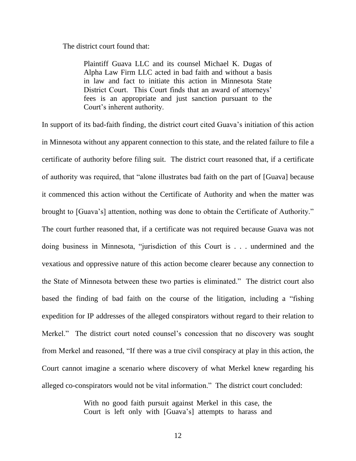The district court found that:

Plaintiff Guava LLC and its counsel Michael K. Dugas of Alpha Law Firm LLC acted in bad faith and without a basis in law and fact to initiate this action in Minnesota State District Court. This Court finds that an award of attorneys' fees is an appropriate and just sanction pursuant to the Court's inherent authority.

In support of its bad-faith finding, the district court cited Guava's initiation of this action in Minnesota without any apparent connection to this state, and the related failure to file a certificate of authority before filing suit. The district court reasoned that, if a certificate of authority was required, that "alone illustrates bad faith on the part of [Guava] because it commenced this action without the Certificate of Authority and when the matter was brought to [Guava's] attention, nothing was done to obtain the Certificate of Authority." The court further reasoned that, if a certificate was not required because Guava was not doing business in Minnesota, "jurisdiction of this Court is . . . undermined and the vexatious and oppressive nature of this action become clearer because any connection to the State of Minnesota between these two parties is eliminated." The district court also based the finding of bad faith on the course of the litigation, including a "fishing expedition for IP addresses of the alleged conspirators without regard to their relation to Merkel." The district court noted counsel's concession that no discovery was sought from Merkel and reasoned, "If there was a true civil conspiracy at play in this action, the Court cannot imagine a scenario where discovery of what Merkel knew regarding his alleged co-conspirators would not be vital information." The district court concluded:

> With no good faith pursuit against Merkel in this case, the Court is left only with [Guava's] attempts to harass and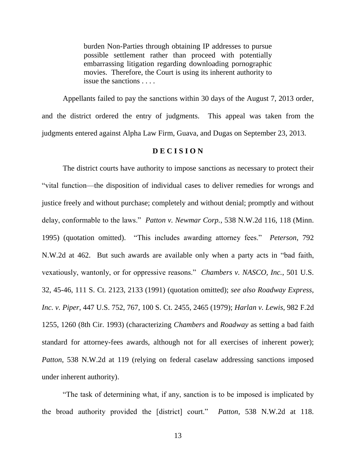burden Non-Parties through obtaining IP addresses to pursue possible settlement rather than proceed with potentially embarrassing litigation regarding downloading pornographic movies. Therefore, the Court is using its inherent authority to issue the sanctions . . . .

Appellants failed to pay the sanctions within 30 days of the August 7, 2013 order, and the district ordered the entry of judgments. This appeal was taken from the judgments entered against Alpha Law Firm, Guava, and Dugas on September 23, 2013.

## **D E C I S I O N**

The district courts have authority to impose sanctions as necessary to protect their "vital function—the disposition of individual cases to deliver remedies for wrongs and justice freely and without purchase; completely and without denial; promptly and without delay, conformable to the laws." *Patton v. Newmar Corp.*, 538 N.W.2d 116, 118 (Minn. 1995) (quotation omitted). "This includes awarding attorney fees." *Peterson*, 792 N.W.2d at 462. But such awards are available only when a party acts in "bad faith, vexatiously, wantonly, or for oppressive reasons." *Chambers v. NASCO, Inc.*, 501 U.S. 32, 45-46, 111 S. Ct. 2123, 2133 (1991) (quotation omitted); *see also Roadway Express, Inc. v. Piper*, 447 U.S. 752, 767, 100 S. Ct. 2455, 2465 (1979); *Harlan v. Lewis*, 982 F.2d 1255, 1260 (8th Cir. 1993) (characterizing *Chambers* and *Roadway* as setting a bad faith standard for attorney-fees awards, although not for all exercises of inherent power); *Patton*, 538 N.W.2d at 119 (relying on federal caselaw addressing sanctions imposed under inherent authority).

"The task of determining what, if any, sanction is to be imposed is implicated by the broad authority provided the [district] court." *Patton*, 538 N.W.2d at 118.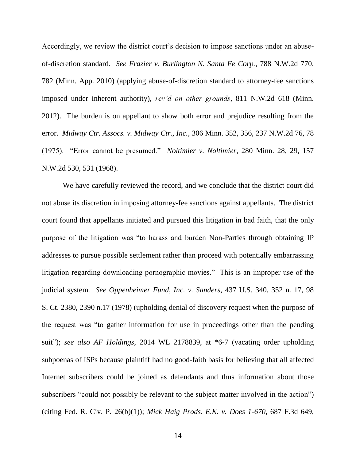Accordingly, we review the district court's decision to impose sanctions under an abuseof-discretion standard. *See Frazier v. Burlington N. Santa Fe Corp.*, 788 N.W.2d 770, 782 (Minn. App. 2010) (applying abuse-of-discretion standard to attorney-fee sanctions imposed under inherent authority), *rev'd on other grounds*, 811 N.W.2d 618 (Minn. 2012). The burden is on appellant to show both error and prejudice resulting from the error. *Midway Ctr. Assocs. v. Midway Ctr., Inc.*, 306 Minn. 352, 356, 237 N.W.2d 76, 78 (1975). "Error cannot be presumed." *Noltimier v. Noltimier*, 280 Minn. 28, 29, 157 N.W.2d 530, 531 (1968).

We have carefully reviewed the record, and we conclude that the district court did not abuse its discretion in imposing attorney-fee sanctions against appellants. The district court found that appellants initiated and pursued this litigation in bad faith, that the only purpose of the litigation was "to harass and burden Non-Parties through obtaining IP addresses to pursue possible settlement rather than proceed with potentially embarrassing litigation regarding downloading pornographic movies." This is an improper use of the judicial system. *See Oppenheimer Fund, Inc. v. Sanders*, 437 U.S. 340, 352 n. 17, 98 S. Ct. 2380, 2390 n.17 (1978) (upholding denial of discovery request when the purpose of the request was "to gather information for use in proceedings other than the pending suit"); *see also AF Holdings,* 2014 WL 2178839, at \*6-7 (vacating order upholding subpoenas of ISPs because plaintiff had no good-faith basis for believing that all affected Internet subscribers could be joined as defendants and thus information about those subscribers "could not possibly be relevant to the subject matter involved in the action") (citing Fed. R. Civ. P. 26(b)(1)); *Mick Haig Prods. E.K. v. Does 1-670,* 687 F.3d 649,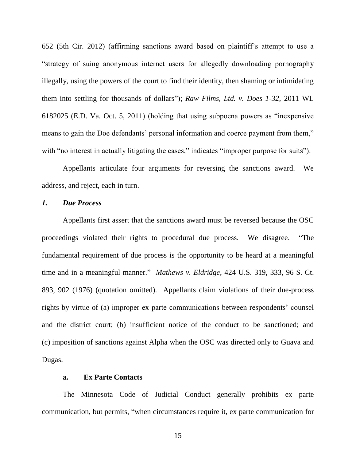652 (5th Cir. 2012) (affirming sanctions award based on plaintiff's attempt to use a "strategy of suing anonymous internet users for allegedly downloading pornography illegally, using the powers of the court to find their identity, then shaming or intimidating them into settling for thousands of dollars"); *Raw Films, Ltd. v. Does 1-32,* 2011 WL 6182025 (E.D. Va. Oct. 5, 2011) (holding that using subpoena powers as "inexpensive means to gain the Doe defendants' personal information and coerce payment from them," with "no interest in actually litigating the cases," indicates "improper purpose for suits").

Appellants articulate four arguments for reversing the sanctions award. We address, and reject, each in turn.

### *1. Due Process*

Appellants first assert that the sanctions award must be reversed because the OSC proceedings violated their rights to procedural due process. We disagree. "The fundamental requirement of due process is the opportunity to be heard at a meaningful time and in a meaningful manner." *Mathews v. Eldridge*, 424 U.S. 319, 333, 96 S. Ct. 893, 902 (1976) (quotation omitted). Appellants claim violations of their due-process rights by virtue of (a) improper ex parte communications between respondents' counsel and the district court; (b) insufficient notice of the conduct to be sanctioned; and (c) imposition of sanctions against Alpha when the OSC was directed only to Guava and Dugas.

#### **a. Ex Parte Contacts**

The Minnesota Code of Judicial Conduct generally prohibits ex parte communication, but permits, "when circumstances require it, ex parte communication for

15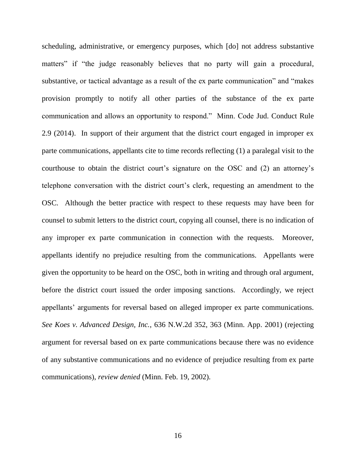scheduling, administrative, or emergency purposes, which [do] not address substantive matters" if "the judge reasonably believes that no party will gain a procedural, substantive, or tactical advantage as a result of the ex parte communication" and "makes provision promptly to notify all other parties of the substance of the ex parte communication and allows an opportunity to respond." Minn. Code Jud. Conduct Rule 2.9 (2014). In support of their argument that the district court engaged in improper ex parte communications, appellants cite to time records reflecting (1) a paralegal visit to the courthouse to obtain the district court's signature on the OSC and (2) an attorney's telephone conversation with the district court's clerk, requesting an amendment to the OSC. Although the better practice with respect to these requests may have been for counsel to submit letters to the district court, copying all counsel, there is no indication of any improper ex parte communication in connection with the requests. Moreover, appellants identify no prejudice resulting from the communications. Appellants were given the opportunity to be heard on the OSC, both in writing and through oral argument, before the district court issued the order imposing sanctions. Accordingly, we reject appellants' arguments for reversal based on alleged improper ex parte communications. *See Koes v. Advanced Design, Inc.*, 636 N.W.2d 352, 363 (Minn. App. 2001) (rejecting argument for reversal based on ex parte communications because there was no evidence of any substantive communications and no evidence of prejudice resulting from ex parte communications), *review denied* (Minn. Feb. 19, 2002).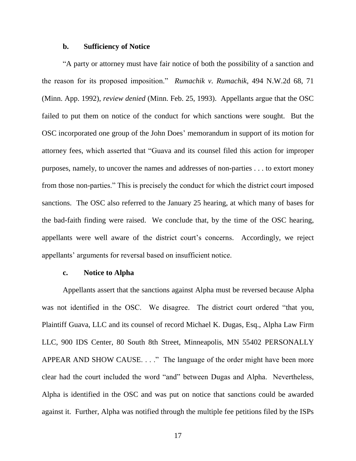#### **b. Sufficiency of Notice**

"A party or attorney must have fair notice of both the possibility of a sanction and the reason for its proposed imposition." *Rumachik v. Rumachik*, 494 N.W.2d 68, 71 (Minn. App. 1992), *review denied* (Minn. Feb. 25, 1993). Appellants argue that the OSC failed to put them on notice of the conduct for which sanctions were sought. But the OSC incorporated one group of the John Does' memorandum in support of its motion for attorney fees, which asserted that "Guava and its counsel filed this action for improper purposes, namely, to uncover the names and addresses of non-parties . . . to extort money from those non-parties." This is precisely the conduct for which the district court imposed sanctions. The OSC also referred to the January 25 hearing, at which many of bases for the bad-faith finding were raised. We conclude that, by the time of the OSC hearing, appellants were well aware of the district court's concerns. Accordingly, we reject appellants' arguments for reversal based on insufficient notice.

### **c. Notice to Alpha**

Appellants assert that the sanctions against Alpha must be reversed because Alpha was not identified in the OSC. We disagree. The district court ordered "that you, Plaintiff Guava, LLC and its counsel of record Michael K. Dugas, Esq., Alpha Law Firm LLC, 900 IDS Center, 80 South 8th Street, Minneapolis, MN 55402 PERSONALLY APPEAR AND SHOW CAUSE. . . ." The language of the order might have been more clear had the court included the word "and" between Dugas and Alpha. Nevertheless, Alpha is identified in the OSC and was put on notice that sanctions could be awarded against it. Further, Alpha was notified through the multiple fee petitions filed by the ISPs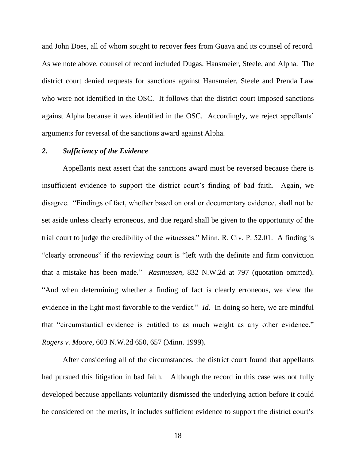and John Does, all of whom sought to recover fees from Guava and its counsel of record. As we note above, counsel of record included Dugas, Hansmeier, Steele, and Alpha. The district court denied requests for sanctions against Hansmeier, Steele and Prenda Law who were not identified in the OSC. It follows that the district court imposed sanctions against Alpha because it was identified in the OSC. Accordingly, we reject appellants' arguments for reversal of the sanctions award against Alpha.

## *2. Sufficiency of the Evidence*

Appellants next assert that the sanctions award must be reversed because there is insufficient evidence to support the district court's finding of bad faith. Again, we disagree. "Findings of fact, whether based on oral or documentary evidence, shall not be set aside unless clearly erroneous, and due regard shall be given to the opportunity of the trial court to judge the credibility of the witnesses." Minn. R. Civ. P. 52.01. A finding is "clearly erroneous" if the reviewing court is "left with the definite and firm conviction that a mistake has been made." *Rasmussen*, 832 N.W.2d at 797 (quotation omitted). "And when determining whether a finding of fact is clearly erroneous, we view the evidence in the light most favorable to the verdict." *Id.* In doing so here, we are mindful that "circumstantial evidence is entitled to as much weight as any other evidence." *Rogers v. Moore*, 603 N.W.2d 650, 657 (Minn. 1999).

After considering all of the circumstances, the district court found that appellants had pursued this litigation in bad faith. Although the record in this case was not fully developed because appellants voluntarily dismissed the underlying action before it could be considered on the merits, it includes sufficient evidence to support the district court's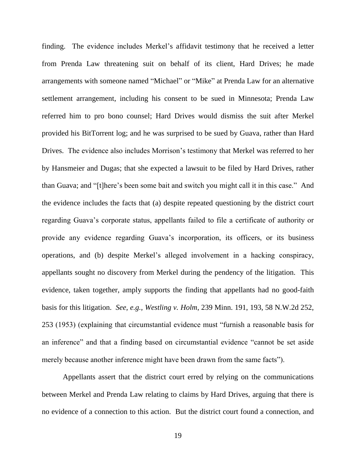finding. The evidence includes Merkel's affidavit testimony that he received a letter from Prenda Law threatening suit on behalf of its client, Hard Drives; he made arrangements with someone named "Michael" or "Mike" at Prenda Law for an alternative settlement arrangement, including his consent to be sued in Minnesota; Prenda Law referred him to pro bono counsel; Hard Drives would dismiss the suit after Merkel provided his BitTorrent log; and he was surprised to be sued by Guava, rather than Hard Drives. The evidence also includes Morrison's testimony that Merkel was referred to her by Hansmeier and Dugas; that she expected a lawsuit to be filed by Hard Drives, rather than Guava; and "[t]here's been some bait and switch you might call it in this case." And the evidence includes the facts that (a) despite repeated questioning by the district court regarding Guava's corporate status, appellants failed to file a certificate of authority or provide any evidence regarding Guava's incorporation, its officers, or its business operations, and (b) despite Merkel's alleged involvement in a hacking conspiracy, appellants sought no discovery from Merkel during the pendency of the litigation. This evidence, taken together, amply supports the finding that appellants had no good-faith basis for this litigation. *See, e.g., Westling v. Holm*, 239 Minn. 191, 193, 58 N.W.2d 252, 253 (1953) (explaining that circumstantial evidence must "furnish a reasonable basis for an inference" and that a finding based on circumstantial evidence "cannot be set aside merely because another inference might have been drawn from the same facts").

Appellants assert that the district court erred by relying on the communications between Merkel and Prenda Law relating to claims by Hard Drives, arguing that there is no evidence of a connection to this action. But the district court found a connection, and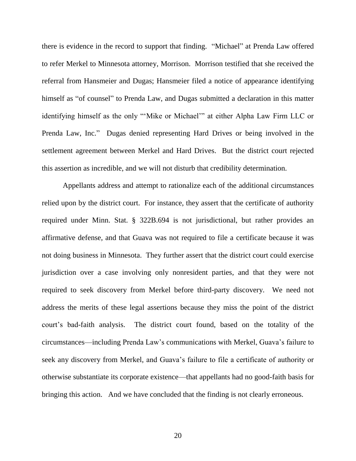there is evidence in the record to support that finding. "Michael" at Prenda Law offered to refer Merkel to Minnesota attorney, Morrison. Morrison testified that she received the referral from Hansmeier and Dugas; Hansmeier filed a notice of appearance identifying himself as "of counsel" to Prenda Law, and Dugas submitted a declaration in this matter identifying himself as the only "'Mike or Michael'" at either Alpha Law Firm LLC or Prenda Law, Inc." Dugas denied representing Hard Drives or being involved in the settlement agreement between Merkel and Hard Drives. But the district court rejected this assertion as incredible, and we will not disturb that credibility determination.

Appellants address and attempt to rationalize each of the additional circumstances relied upon by the district court. For instance, they assert that the certificate of authority required under Minn. Stat. § 322B.694 is not jurisdictional, but rather provides an affirmative defense, and that Guava was not required to file a certificate because it was not doing business in Minnesota. They further assert that the district court could exercise jurisdiction over a case involving only nonresident parties, and that they were not required to seek discovery from Merkel before third-party discovery. We need not address the merits of these legal assertions because they miss the point of the district court's bad-faith analysis. The district court found, based on the totality of the circumstances—including Prenda Law's communications with Merkel, Guava's failure to seek any discovery from Merkel, and Guava's failure to file a certificate of authority or otherwise substantiate its corporate existence—that appellants had no good-faith basis for bringing this action. And we have concluded that the finding is not clearly erroneous.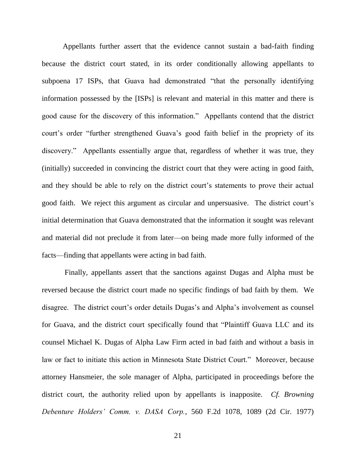Appellants further assert that the evidence cannot sustain a bad-faith finding because the district court stated, in its order conditionally allowing appellants to subpoena 17 ISPs, that Guava had demonstrated "that the personally identifying information possessed by the [ISPs] is relevant and material in this matter and there is good cause for the discovery of this information." Appellants contend that the district court's order "further strengthened Guava's good faith belief in the propriety of its discovery." Appellants essentially argue that, regardless of whether it was true, they (initially) succeeded in convincing the district court that they were acting in good faith, and they should be able to rely on the district court's statements to prove their actual good faith. We reject this argument as circular and unpersuasive. The district court's initial determination that Guava demonstrated that the information it sought was relevant and material did not preclude it from later—on being made more fully informed of the facts—finding that appellants were acting in bad faith.

Finally, appellants assert that the sanctions against Dugas and Alpha must be reversed because the district court made no specific findings of bad faith by them. We disagree. The district court's order details Dugas's and Alpha's involvement as counsel for Guava, and the district court specifically found that "Plaintiff Guava LLC and its counsel Michael K. Dugas of Alpha Law Firm acted in bad faith and without a basis in law or fact to initiate this action in Minnesota State District Court." Moreover, because attorney Hansmeier, the sole manager of Alpha, participated in proceedings before the district court, the authority relied upon by appellants is inapposite. *Cf. Browning Debenture Holders' Comm. v. DASA Corp.*, 560 F.2d 1078, 1089 (2d Cir. 1977)

21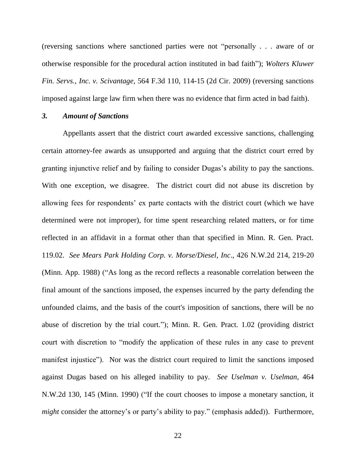(reversing sanctions where sanctioned parties were not "personally . . . aware of or otherwise responsible for the procedural action instituted in bad faith"); *Wolters Kluwer Fin. Servs., Inc. v. Scivantage*, 564 F.3d 110, 114-15 (2d Cir. 2009) (reversing sanctions imposed against large law firm when there was no evidence that firm acted in bad faith).

## *3. Amount of Sanctions*

Appellants assert that the district court awarded excessive sanctions, challenging certain attorney-fee awards as unsupported and arguing that the district court erred by granting injunctive relief and by failing to consider Dugas's ability to pay the sanctions. With one exception, we disagree. The district court did not abuse its discretion by allowing fees for respondents' ex parte contacts with the district court (which we have determined were not improper), for time spent researching related matters, or for time reflected in an affidavit in a format other than that specified in Minn. R. Gen. Pract. 119.02. *See Mears Park Holding Corp. v. Morse/Diesel, Inc*., 426 N.W.2d 214, 219-20 (Minn. App. 1988) ("As long as the record reflects a reasonable correlation between the final amount of the sanctions imposed, the expenses incurred by the party defending the unfounded claims, and the basis of the court's imposition of sanctions, there will be no abuse of discretion by the trial court."); Minn. R. Gen. Pract. 1.02 (providing district court with discretion to "modify the application of these rules in any case to prevent manifest injustice"). Nor was the district court required to limit the sanctions imposed against Dugas based on his alleged inability to pay. *See Uselman v. Uselman*, 464 N.W.2d 130, 145 (Minn. 1990) ("If the court chooses to impose a monetary sanction, it *might* consider the attorney's or party's ability to pay." (emphasis added)). Furthermore,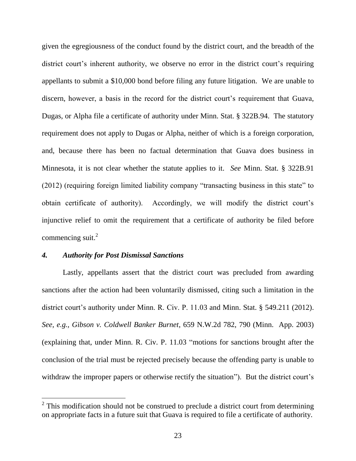given the egregiousness of the conduct found by the district court, and the breadth of the district court's inherent authority, we observe no error in the district court's requiring appellants to submit a \$10,000 bond before filing any future litigation. We are unable to discern, however, a basis in the record for the district court's requirement that Guava, Dugas, or Alpha file a certificate of authority under Minn. Stat. § 322B.94. The statutory requirement does not apply to Dugas or Alpha, neither of which is a foreign corporation, and, because there has been no factual determination that Guava does business in Minnesota, it is not clear whether the statute applies to it. *See* Minn. Stat. § 322B.91 (2012) (requiring foreign limited liability company "transacting business in this state" to obtain certificate of authority). Accordingly, we will modify the district court's injunctive relief to omit the requirement that a certificate of authority be filed before commencing suit. $2$ 

#### *4. Authority for Post Dismissal Sanctions*

 $\overline{a}$ 

Lastly, appellants assert that the district court was precluded from awarding sanctions after the action had been voluntarily dismissed, citing such a limitation in the district court's authority under Minn. R. Civ. P. 11.03 and Minn. Stat. § 549.211 (2012). *See, e.g., Gibson v. Coldwell Banker Burnet*, 659 N.W.2d 782, 790 (Minn. App. 2003) (explaining that, under Minn. R. Civ. P. 11.03 "motions for sanctions brought after the conclusion of the trial must be rejected precisely because the offending party is unable to withdraw the improper papers or otherwise rectify the situation"). But the district court's

 $2$  This modification should not be construed to preclude a district court from determining on appropriate facts in a future suit that Guava is required to file a certificate of authority.